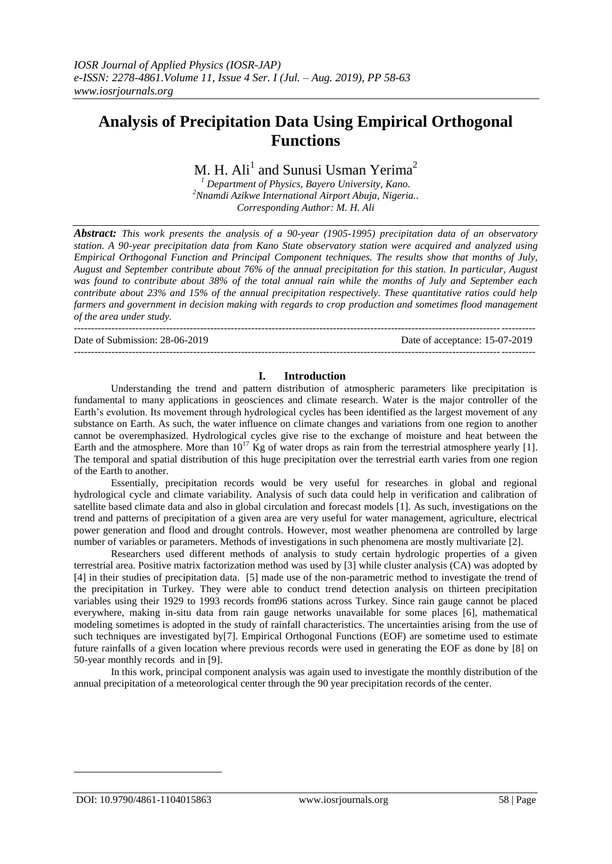# **Analysis of Precipitation Data Using Empirical Orthogonal Functions**

# M. H.  $\text{Ali}^1$  and Sunusi Usman Yerima<sup>2</sup>

*<sup>1</sup> Department of Physics, Bayero University, Kano. <sup>2</sup>Nnamdi Azikwe International Airport Abuja, Nigeria.. Corresponding Author: M. H. Ali*

*Abstract: This work presents the analysis of a 90-year (1905-1995) precipitation data of an observatory station. A 90-year precipitation data from Kano State observatory station were acquired and analyzed using Empirical Orthogonal Function and Principal Component techniques. The results show that months of July, August and September contribute about 76% of the annual precipitation for this station. In particular, August was found to contribute about 38% of the total annual rain while the months of July and September each contribute about 23% and 15% of the annual precipitation respectively. These quantitative ratios could help farmers and government in decision making with regards to crop production and sometimes flood management of the area under study.*

--------------------------------------------------------------------------------------------------------------------------------------- Date of Submission: 28-06-2019 Date of acceptance: 15-07-2019 ---------------------------------------------------------------------------------------------------------------------------------------

#### **I. Introduction**

Understanding the trend and pattern distribution of atmospheric parameters like precipitation is fundamental to many applications in geosciences and climate research. Water is the major controller of the Earth's evolution. Its movement through hydrological cycles has been identified as the largest movement of any substance on Earth. As such, the water influence on climate changes and variations from one region to another cannot be overemphasized. Hydrological cycles give rise to the exchange of moisture and heat between the Earth and the atmosphere. More than  $10^{17}$  Kg of water drops as rain from the terrestrial atmosphere yearly [1]. The temporal and spatial distribution of this huge precipitation over the terrestrial earth varies from one region of the Earth to another.

Essentially, precipitation records would be very useful for researches in global and regional hydrological cycle and climate variability. Analysis of such data could help in verification and calibration of satellite based climate data and also in global circulation and forecast models [1]. As such, investigations on the trend and patterns of precipitation of a given area are very useful for water management, agriculture, electrical power generation and flood and drought controls. However, most weather phenomena are controlled by large number of variables or parameters. Methods of investigations in such phenomena are mostly multivariate [2].

Researchers used different methods of analysis to study certain hydrologic properties of a given terrestrial area. Positive matrix factorization method was used by [3] while cluster analysis (CA) was adopted by [4] in their studies of precipitation data. [5] made use of the non-parametric method to investigate the trend of the precipitation in Turkey. They were able to conduct trend detection analysis on thirteen precipitation variables using their 1929 to 1993 records from96 stations across Turkey. Since rain gauge cannot be placed everywhere, making in-situ data from rain gauge networks unavailable for some places [6], mathematical modeling sometimes is adopted in the study of rainfall characteristics. The uncertainties arising from the use of such techniques are investigated by[7]. Empirical Orthogonal Functions (EOF) are sometime used to estimate future rainfalls of a given location where previous records were used in generating the EOF as done by [8] on 50-year monthly records and in [9].

In this work, principal component analysis was again used to investigate the monthly distribution of the annual precipitation of a meteorological center through the 90 year precipitation records of the center.

1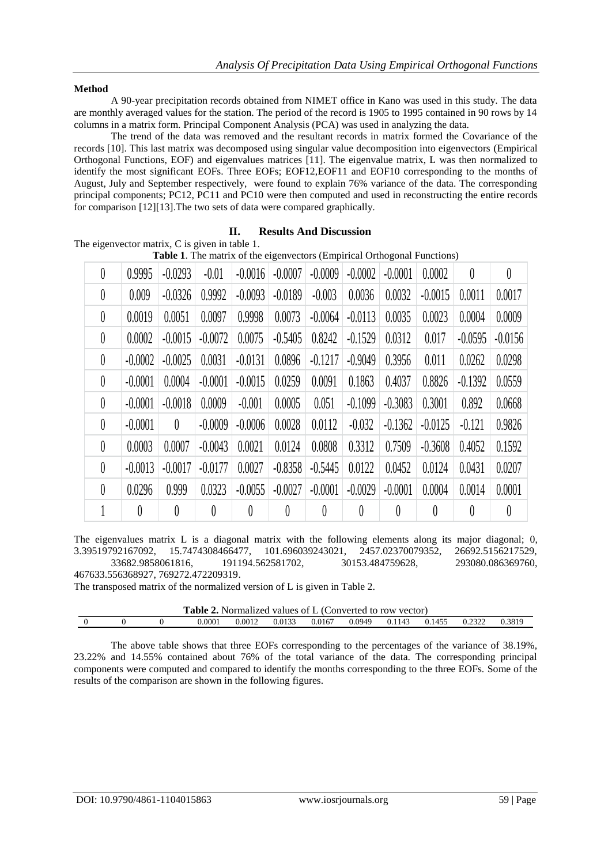#### **Method**

A 90-year precipitation records obtained from NIMET office in Kano was used in this study. The data are monthly averaged values for the station. The period of the record is 1905 to 1995 contained in 90 rows by 14 columns in a matrix form. Principal Component Analysis (PCA) was used in analyzing the data.

The trend of the data was removed and the resultant records in matrix formed the Covariance of the records [10]. This last matrix was decomposed using singular value decomposition into eigenvectors (Empirical Orthogonal Functions, EOF) and eigenvalues matrices [11]. The eigenvalue matrix, L was then normalized to identify the most significant EOFs. Three EOFs; EOF12,EOF11 and EOF10 corresponding to the months of August, July and September respectively, were found to explain 76% variance of the data. The corresponding principal components; PC12, PC11 and PC10 were then computed and used in reconstructing the entire records for comparison [12][13].The two sets of data were compared graphically.

# **II. Results And Discussion**

The eigenvector matrix, C is given in table 1.

| Table 1. The matrix of the eigenvectors (Empirical Orthogonal Functions) |           |           |           |           |           |           |           |           |           |           |           |
|--------------------------------------------------------------------------|-----------|-----------|-----------|-----------|-----------|-----------|-----------|-----------|-----------|-----------|-----------|
| $\theta$                                                                 | 0.9995    | $-0.0293$ | $-0.01$   | $-0.0016$ | $-0.0007$ | $-0.0009$ | $-0.0002$ | $-0.0001$ | 0.0002    | $\theta$  | 0         |
| $\theta$                                                                 | 0.009     | $-0.0326$ | 0.9992    | $-0.0093$ | $-0.0189$ | $-0.003$  | 0.0036    | 0.0032    | $-0.0015$ | 0.0011    | 0.0017    |
| $\theta$                                                                 | 0.0019    | 0.0051    | 0.0097    | 0.9998    | 0.0073    | $-0.0064$ | $-0.0113$ | 0.0035    | 0.0023    | 0.0004    | 0.0009    |
| $\theta$                                                                 | 0.0002    | $-0.0015$ | $-0.0072$ | 0.0075    | $-0.5405$ | 0.8242    | $-0.1529$ | 0.0312    | 0.017     | $-0.0595$ | $-0.0156$ |
| $\theta$                                                                 | $-0.0002$ | $-0.0025$ | 0.0031    | $-0.0131$ | 0.0896    | $-0.1217$ | $-0.9049$ | 0.3956    | 0.011     | 0.0262    | 0.0298    |
| $\theta$                                                                 | $-0.0001$ | 0.0004    | $-0.0001$ | $-0.0015$ | 0.0259    | 0.0091    | 0.1863    | 0.4037    | 0.8826    | $-0.1392$ | 0.0559    |
| $\theta$                                                                 | $-0.0001$ | $-0.0018$ | 0.0009    | $-0.001$  | 0.0005    | 0.051     | $-0.1099$ | $-0.3083$ | 0.3001    | 0.892     | 0.0668    |
| $\theta$                                                                 | $-0.0001$ | $\theta$  | $-0.0009$ | $-0.0006$ | 0.0028    | 0.0112    | $-0.032$  | $-0.1362$ | $-0.0125$ | $-0.121$  | 0.9826    |
| $\theta$                                                                 | 0.0003    | 0.0007    | $-0.0043$ | 0.0021    | 0.0124    | 0.0808    | 0.3312    | 0.7509    | $-0.3608$ | 0.4052    | 0.1592    |
| $\theta$                                                                 | $-0.0013$ | $-0.0017$ | $-0.0177$ | 0.0027    | $-0.8358$ | $-0.5445$ | 0.0122    | 0.0452    | 0.0124    | 0.0431    | 0.0207    |
| $\theta$                                                                 | 0.0296    | 0.999     | 0.0323    | $-0.0055$ | $-0.0027$ | $-0.0001$ | $-0.0029$ | $-0.0001$ | 0.0004    | 0.0014    | 0.0001    |
|                                                                          | $\theta$  | 0         | 0         | 0         | $\theta$  | 0         | 0         | 0         | 0         | 0         | 0         |

The eigenvalues matrix L is a diagonal matrix with the following elements along its major diagonal; 0, 3.39519792167092, 15.7474308466477, 101.696039243021, 2457.02370079352, 26692.5156217529, 33682.9858061816, 191194.562581702, 30153.484759628, 293080.086369760, 467633.556368927, 769272.472209319.

The transposed matrix of the normalized version of L is given in Table 2.

| <b>Table 2.</b> Normalized values of L (Converted to row vector) |  |  |        |        |        |        |        |        |        |        |        |
|------------------------------------------------------------------|--|--|--------|--------|--------|--------|--------|--------|--------|--------|--------|
|                                                                  |  |  | 0.0001 | 0.0012 | 0.0133 | 0.0167 | 0.0949 | 0.1143 | 0.1455 | 0.2322 | 0.3819 |

The above table shows that three EOFs corresponding to the percentages of the variance of 38.19%, 23.22% and 14.55% contained about 76% of the total variance of the data. The corresponding principal components were computed and compared to identify the months corresponding to the three EOFs. Some of the results of the comparison are shown in the following figures.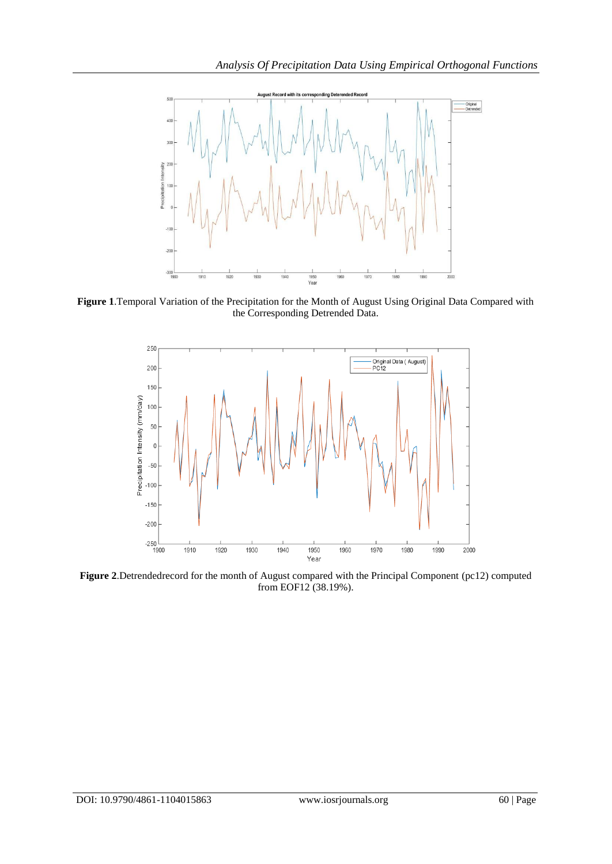

**Figure 1**.Temporal Variation of the Precipitation for the Month of August Using Original Data Compared with the Corresponding Detrended Data.



**Figure 2**.Detrendedrecord for the month of August compared with the Principal Component (pc12) computed from EOF12 (38.19%).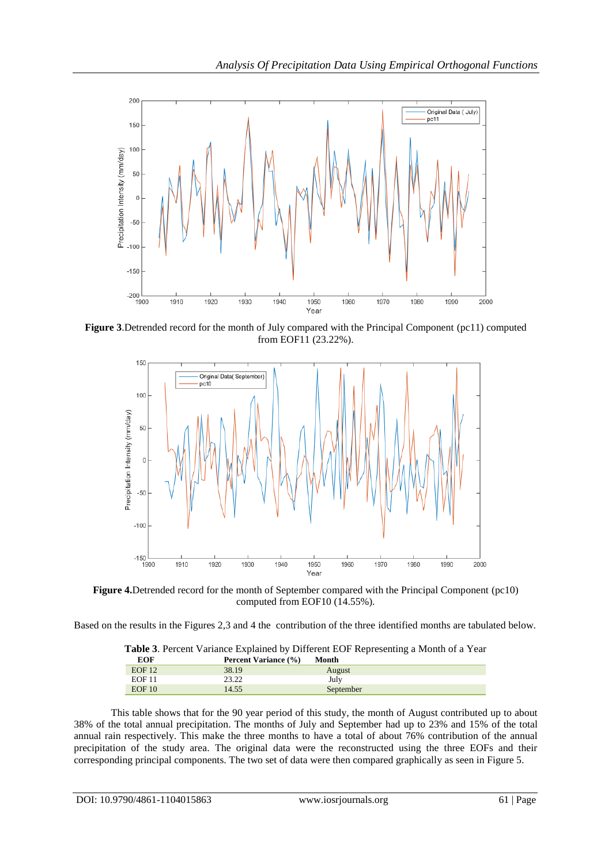

**Figure 3**.Detrended record for the month of July compared with the Principal Component (pc11) computed from EOF11 (23.22%).



**Figure 4.**Detrended record for the month of September compared with the Principal Component (pc10) computed from EOF10 (14.55%).

Based on the results in the Figures 2,3 and 4 the contribution of the three identified months are tabulated below.

|               | <b>Table 3.</b> Percent Variance Explained by Different EOF Representing a Month of a Year |           |  |
|---------------|--------------------------------------------------------------------------------------------|-----------|--|
| <b>EOF</b>    | <b>Percent Variance (%)</b>                                                                | Month     |  |
| EOF12         | 38.19                                                                                      | August    |  |
| <b>EOF 11</b> | 23.22                                                                                      | July      |  |
| EOF10         | 14.55                                                                                      | September |  |

| This table shows that for the 90 year period of this study, the month of August contributed up to about      |
|--------------------------------------------------------------------------------------------------------------|
| 38% of the total annual precipitation. The months of July and September had up to 23% and 15% of the total   |
| annual rain respectively. This make the three months to have a total of about 76% contribution of the annual |
| precipitation of the study area. The original data were the reconstructed using the three EOFs and their     |
| corresponding principal components. The two set of data were then compared graphically as seen in Figure 5.  |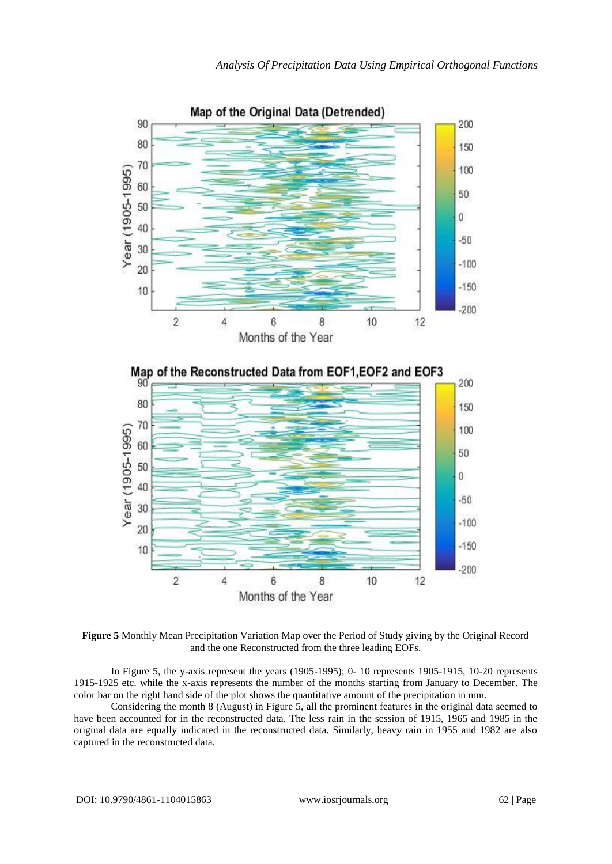

**Figure 5** Monthly Mean Precipitation Variation Map over the Period of Study giving by the Original Record and the one Reconstructed from the three leading EOFs.

In Figure 5, the y-axis represent the years (1905-1995); 0- 10 represents 1905-1915, 10-20 represents 1915-1925 etc. while the x-axis represents the number of the months starting from January to December. The color bar on the right hand side of the plot shows the quantitative amount of the precipitation in mm.

Considering the month 8 (August) in Figure 5, all the prominent features in the original data seemed to have been accounted for in the reconstructed data. The less rain in the session of 1915, 1965 and 1985 in the original data are equally indicated in the reconstructed data. Similarly, heavy rain in 1955 and 1982 are also captured in the reconstructed data.